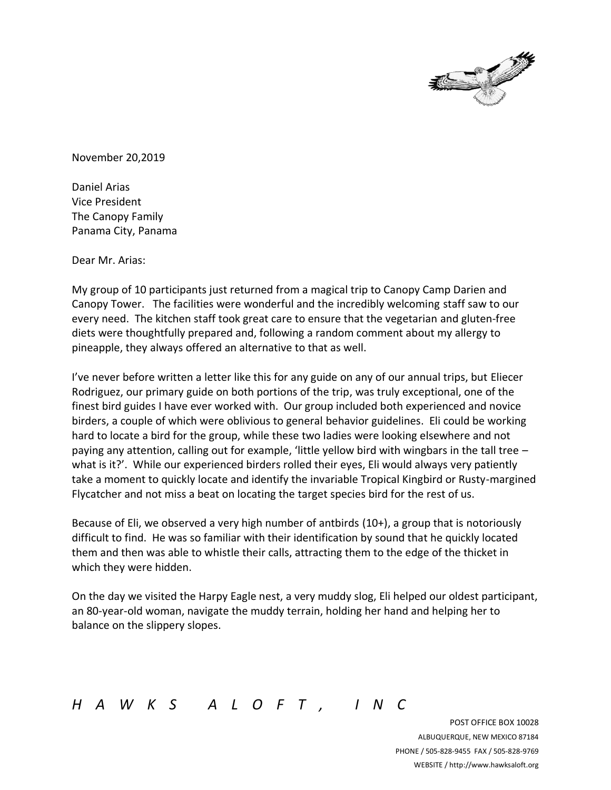

November 20,2019

Daniel Arias Vice President The Canopy Family Panama City, Panama

Dear Mr. Arias:

My group of 10 participants just returned from a magical trip to Canopy Camp Darien and Canopy Tower. The facilities were wonderful and the incredibly welcoming staff saw to our every need. The kitchen staff took great care to ensure that the vegetarian and gluten-free diets were thoughtfully prepared and, following a random comment about my allergy to pineapple, they always offered an alternative to that as well.

I've never before written a letter like this for any guide on any of our annual trips, but Eliecer Rodriguez, our primary guide on both portions of the trip, was truly exceptional, one of the finest bird guides I have ever worked with. Our group included both experienced and novice birders, a couple of which were oblivious to general behavior guidelines. Eli could be working hard to locate a bird for the group, while these two ladies were looking elsewhere and not paying any attention, calling out for example, 'little yellow bird with wingbars in the tall tree what is it?'. While our experienced birders rolled their eyes, Eli would always very patiently take a moment to quickly locate and identify the invariable Tropical Kingbird or Rusty-margined Flycatcher and not miss a beat on locating the target species bird for the rest of us.

Because of Eli, we observed a very high number of antbirds (10+), a group that is notoriously difficult to find. He was so familiar with their identification by sound that he quickly located them and then was able to whistle their calls, attracting them to the edge of the thicket in which they were hidden.

On the day we visited the Harpy Eagle nest, a very muddy slog, Eli helped our oldest participant, an 80-year-old woman, navigate the muddy terrain, holding her hand and helping her to balance on the slippery slopes.

*H A W K S A L O F T , I N C*

POST OFFICE BOX 10028 ALBUQUERQUE, NEW MEXICO 87184 PHONE / 505-828-9455 FAX / 505-828-9769 WEBSITE / http://www.hawksaloft.org